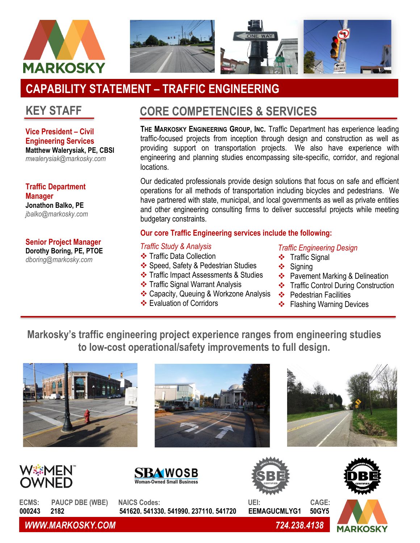

# **CAPABILITY STATEMENT – TRAFFIC ENGINEERING**

## **KEY STAFF**

**Vice President – Civil Engineering Services Matthew Walerysiak, PE, CBSI** *mwalerysiak@markosky.com*

**Traffic Department Manager Jonathon Balko, PE** *jbalko@markosky.com*

**Senior Project Manager Dorothy Boring, PE, PTOE**

*dboring@markosky.com*

## **CORE COMPETENCIES & SERVICES**

**THE MARKOSKY ENGINEERING GROUP, INC.** Traffic Department has experience leading traffic-focused projects from inception through design and construction as well as providing support on transportation projects. We also have experience with engineering and planning studies encompassing site-specific, corridor, and regional locations.

Our dedicated professionals provide design solutions that focus on safe and efficient operations for all methods of transportation including bicycles and pedestrians. We have partnered with state, municipal, and local governments as well as private entities and other engineering consulting firms to deliver successful projects while meeting budgetary constraints.

### **Our core Traffic Engineering services include the following:**

#### *Traffic Study & Analysis*

- ❖ Traffic Data Collection
- ❖ Speed, Safety & Pedestrian Studies
- ❖ Traffic Impact Assessments & Studies
- ❖ Traffic Signal Warrant Analysis
- ❖ Capacity, Queuing & Workzone Analysis
- ❖ Evaluation of Corridors

#### *Traffic Engineering Design*

- ❖ Traffic Signal
- ❖ Signing
- ❖ Pavement Marking & Delineation
- ❖ Traffic Control During Construction
- ❖ Pedestrian Facilities
- ❖ Flashing Warning Devices

**Markosky's traffic engineering project experience ranges from engineering studies to low-cost operational/safety improvements to full design.**













**ECMS: PAUCP DBE (WBE) NAICS Codes: UEI: CAGE: 000243 2182 541620, 541330, 541990, 237110, 541720 EEMAGUCMLYG1 50GY5**

*WWW.MARKOSKY.COM 724.238.4138*